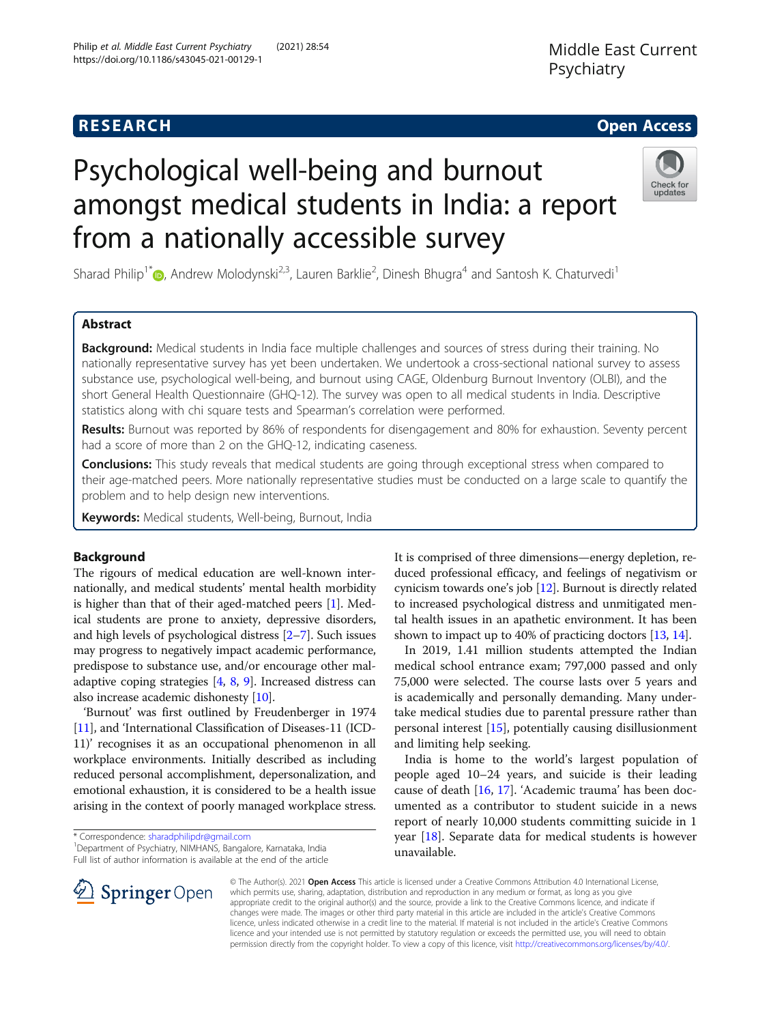# Psychological well-being and burnout amongst medical students in India: a report from a nationally accessible survey

Sharad Philip<sup>1\*</sup>®[,](http://orcid.org/0000-0001-8028-3378) Andrew Molodynski<sup>2,3</sup>, Lauren Barklie<sup>2</sup>, Dinesh Bhugra<sup>4</sup> and Santosh K. Chaturvedi<sup>1</sup>

## Abstract

Background: Medical students in India face multiple challenges and sources of stress during their training. No nationally representative survey has yet been undertaken. We undertook a cross-sectional national survey to assess substance use, psychological well-being, and burnout using CAGE, Oldenburg Burnout Inventory (OLBI), and the short General Health Questionnaire (GHQ-12). The survey was open to all medical students in India. Descriptive statistics along with chi square tests and Spearman's correlation were performed.

Results: Burnout was reported by 86% of respondents for disengagement and 80% for exhaustion. Seventy percent had a score of more than 2 on the GHQ-12, indicating caseness.

**Conclusions:** This study reveals that medical students are going through exceptional stress when compared to their age-matched peers. More nationally representative studies must be conducted on a large scale to quantify the problem and to help design new interventions.

Keywords: Medical students, Well-being, Burnout, India

## Background

The rigours of medical education are well-known internationally, and medical students' mental health morbidity is higher than that of their aged-matched peers [\[1](#page-4-0)]. Medical students are prone to anxiety, depressive disorders, and high levels of psychological distress [\[2](#page-4-0)–[7\]](#page-4-0). Such issues may progress to negatively impact academic performance, predispose to substance use, and/or encourage other maladaptive coping strategies [\[4](#page-4-0), [8,](#page-4-0) [9](#page-4-0)]. Increased distress can also increase academic dishonesty [[10](#page-4-0)].

'Burnout' was first outlined by Freudenberger in 1974 [[11](#page-4-0)], and 'International Classification of Diseases-11 (ICD-11)' recognises it as an occupational phenomenon in all workplace environments. Initially described as including reduced personal accomplishment, depersonalization, and emotional exhaustion, it is considered to be a health issue arising in the context of poorly managed workplace stress.

\* Correspondence: [sharadphilipdr@gmail.com](mailto:sharadphilipdr@gmail.com) <sup>1</sup>

 $\mathscr{L}$  Springer Open

<sup>1</sup> Department of Psychiatry, NIMHANS, Bangalore, Karnataka, India Full list of author information is available at the end of the article It is comprised of three dimensions—energy depletion, reduced professional efficacy, and feelings of negativism or cynicism towards one's job [\[12\]](#page-4-0). Burnout is directly related to increased psychological distress and unmitigated mental health issues in an apathetic environment. It has been shown to impact up to 40% of practicing doctors [\[13,](#page-4-0) [14](#page-4-0)].

In 2019, 1.41 million students attempted the Indian medical school entrance exam; 797,000 passed and only 75,000 were selected. The course lasts over 5 years and is academically and personally demanding. Many undertake medical studies due to parental pressure rather than personal interest [[15\]](#page-4-0), potentially causing disillusionment and limiting help seeking.

India is home to the world's largest population of people aged 10–24 years, and suicide is their leading cause of death [\[16](#page-4-0), [17](#page-4-0)]. 'Academic trauma' has been documented as a contributor to student suicide in a news report of nearly 10,000 students committing suicide in 1 year [\[18](#page-4-0)]. Separate data for medical students is however unavailable.

© The Author(s). 2021 Open Access This article is licensed under a Creative Commons Attribution 4.0 International License, which permits use, sharing, adaptation, distribution and reproduction in any medium or format, as long as you give appropriate credit to the original author(s) and the source, provide a link to the Creative Commons licence, and indicate if changes were made. The images or other third party material in this article are included in the article's Creative Commons licence, unless indicated otherwise in a credit line to the material. If material is not included in the article's Creative Commons licence and your intended use is not permitted by statutory regulation or exceeds the permitted use, you will need to obtain permission directly from the copyright holder. To view a copy of this licence, visit <http://creativecommons.org/licenses/by/4.0/>.





## **RESEARCH CHE Open Access**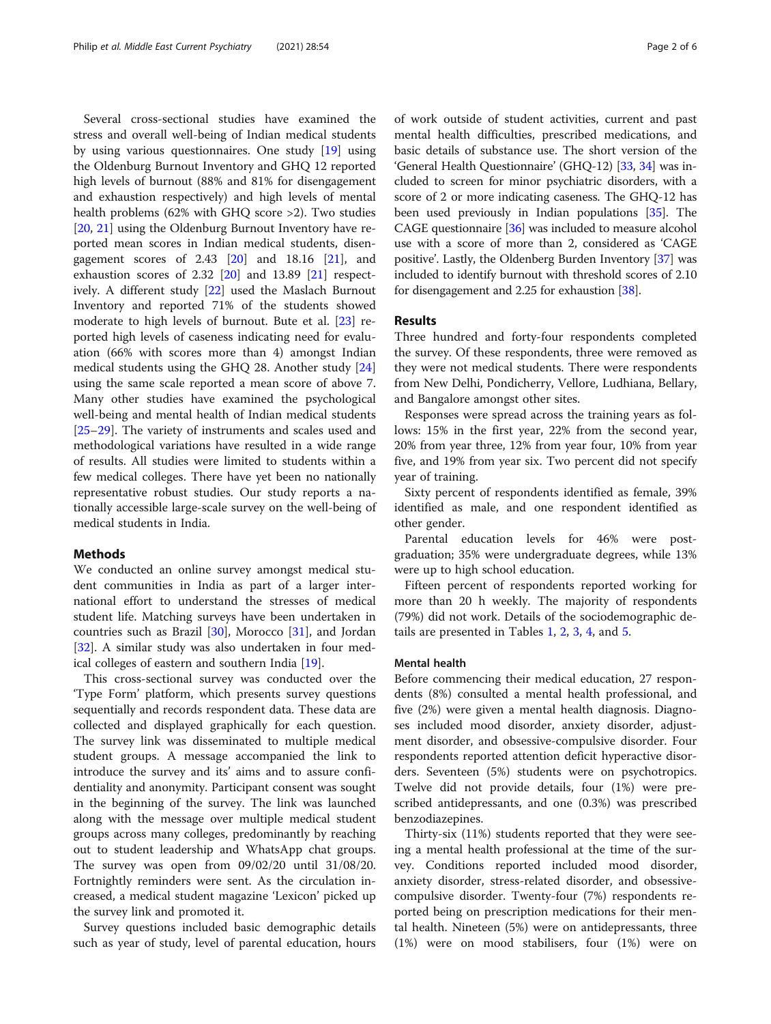Several cross-sectional studies have examined the stress and overall well-being of Indian medical students by using various questionnaires. One study [[19\]](#page-4-0) using the Oldenburg Burnout Inventory and GHQ 12 reported high levels of burnout (88% and 81% for disengagement and exhaustion respectively) and high levels of mental health problems (62% with GHQ score >2). Two studies [[20,](#page-5-0) [21\]](#page-5-0) using the Oldenburg Burnout Inventory have reported mean scores in Indian medical students, disengagement scores of  $2.43$   $[20]$  $[20]$  and  $18.16$   $[21]$ , and exhaustion scores of 2.32 [\[20\]](#page-5-0) and 13.89 [\[21](#page-5-0)] respectively. A different study [[22\]](#page-5-0) used the Maslach Burnout Inventory and reported 71% of the students showed moderate to high levels of burnout. Bute et al. [[23\]](#page-5-0) reported high levels of caseness indicating need for evaluation (66% with scores more than 4) amongst Indian medical students using the GHQ 28. Another study [[24](#page-5-0)] using the same scale reported a mean score of above 7. Many other studies have examined the psychological well-being and mental health of Indian medical students [[25](#page-5-0)–[29](#page-5-0)]. The variety of instruments and scales used and methodological variations have resulted in a wide range of results. All studies were limited to students within a few medical colleges. There have yet been no nationally representative robust studies. Our study reports a nationally accessible large-scale survey on the well-being of medical students in India.

## **Methods**

We conducted an online survey amongst medical student communities in India as part of a larger international effort to understand the stresses of medical student life. Matching surveys have been undertaken in countries such as Brazil [\[30\]](#page-5-0), Morocco [[31\]](#page-5-0), and Jordan [[32\]](#page-5-0). A similar study was also undertaken in four medical colleges of eastern and southern India [[19](#page-4-0)].

This cross-sectional survey was conducted over the 'Type Form' platform, which presents survey questions sequentially and records respondent data. These data are collected and displayed graphically for each question. The survey link was disseminated to multiple medical student groups. A message accompanied the link to introduce the survey and its' aims and to assure confidentiality and anonymity. Participant consent was sought in the beginning of the survey. The link was launched along with the message over multiple medical student groups across many colleges, predominantly by reaching out to student leadership and WhatsApp chat groups. The survey was open from 09/02/20 until 31/08/20. Fortnightly reminders were sent. As the circulation increased, a medical student magazine 'Lexicon' picked up the survey link and promoted it.

Survey questions included basic demographic details such as year of study, level of parental education, hours of work outside of student activities, current and past mental health difficulties, prescribed medications, and basic details of substance use. The short version of the 'General Health Questionnaire' (GHQ-12) [\[33](#page-5-0), [34\]](#page-5-0) was included to screen for minor psychiatric disorders, with a score of 2 or more indicating caseness. The GHQ-12 has been used previously in Indian populations [[35](#page-5-0)]. The CAGE questionnaire [\[36\]](#page-5-0) was included to measure alcohol use with a score of more than 2, considered as 'CAGE positive'. Lastly, the Oldenberg Burden Inventory [\[37\]](#page-5-0) was included to identify burnout with threshold scores of 2.10 for disengagement and 2.25 for exhaustion [[38](#page-5-0)].

## Results

Three hundred and forty-four respondents completed the survey. Of these respondents, three were removed as they were not medical students. There were respondents from New Delhi, Pondicherry, Vellore, Ludhiana, Bellary, and Bangalore amongst other sites.

Responses were spread across the training years as follows: 15% in the first year, 22% from the second year, 20% from year three, 12% from year four, 10% from year five, and 19% from year six. Two percent did not specify year of training.

Sixty percent of respondents identified as female, 39% identified as male, and one respondent identified as other gender.

Parental education levels for 46% were postgraduation; 35% were undergraduate degrees, while 13% were up to high school education.

Fifteen percent of respondents reported working for more than 20 h weekly. The majority of respondents (79%) did not work. Details of the sociodemographic details are presented in Tables [1,](#page-2-0) [2,](#page-2-0) [3,](#page-3-0) [4,](#page-3-0) and [5.](#page-4-0)

## Mental health

Before commencing their medical education, 27 respondents (8%) consulted a mental health professional, and five (2%) were given a mental health diagnosis. Diagnoses included mood disorder, anxiety disorder, adjustment disorder, and obsessive-compulsive disorder. Four respondents reported attention deficit hyperactive disorders. Seventeen (5%) students were on psychotropics. Twelve did not provide details, four (1%) were prescribed antidepressants, and one (0.3%) was prescribed benzodiazepines.

Thirty-six (11%) students reported that they were seeing a mental health professional at the time of the survey. Conditions reported included mood disorder, anxiety disorder, stress-related disorder, and obsessivecompulsive disorder. Twenty-four (7%) respondents reported being on prescription medications for their mental health. Nineteen (5%) were on antidepressants, three (1%) were on mood stabilisers, four (1%) were on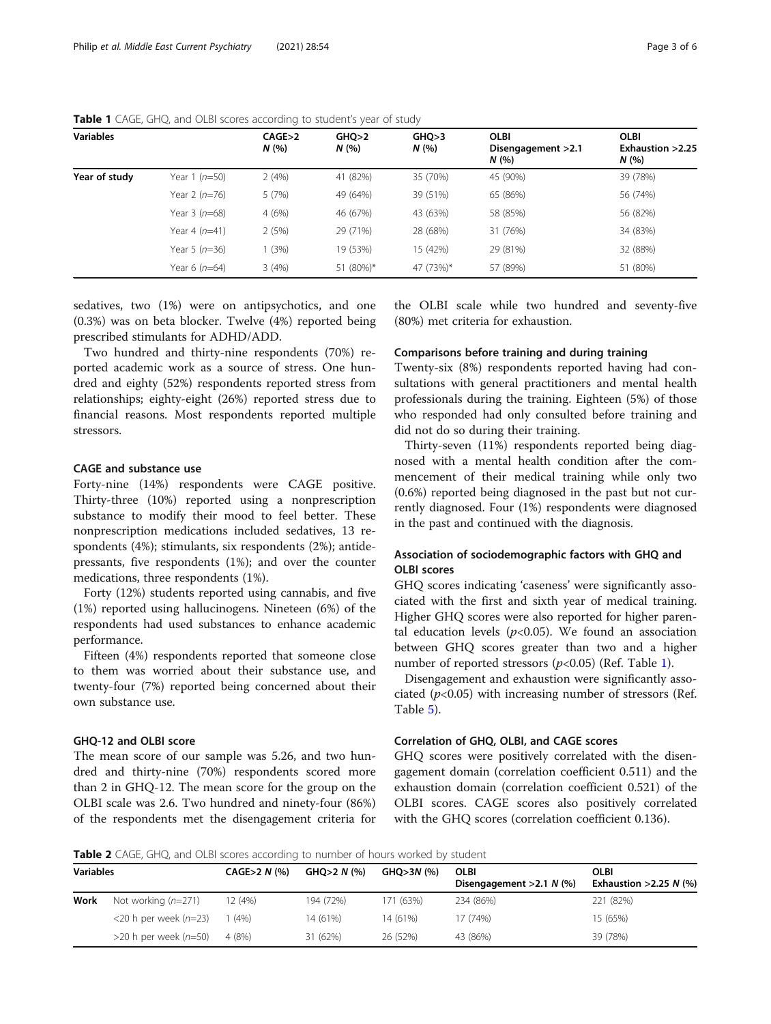| <b>Variables</b> |                | CAGE>2<br>N(% | GHO>2<br>N(% | GHO>3<br>N(96) | <b>OLBI</b><br>Disengagement > 2.1<br>N(% | <b>OLBI</b><br>Exhaustion > 2.25<br>N(% |
|------------------|----------------|---------------|--------------|----------------|-------------------------------------------|-----------------------------------------|
| Year of study    | Year 1 (n=50)  | 2(4%)         | 41 (82%)     | 35 (70%)       | 45 (90%)                                  | 39 (78%)                                |
|                  | Year 2 (n=76)  | 5 (7%)        | 49 (64%)     | 39 (51%)       | 65 (86%)                                  | 56 (74%)                                |
|                  | Year $3(n=68)$ | 4(6%)         | 46 (67%)     | 43 (63%)       | 58 (85%)                                  | 56 (82%)                                |
|                  | Year 4 (n=41)  | 2(5%)         | 29 (71%)     | 28 (68%)       | 31 (76%)                                  | 34 (83%)                                |
|                  | Year 5 (n=36)  | (3%)          | 19 (53%)     | 15 (42%)       | 29 (81%)                                  | 32 (88%)                                |
|                  | Year 6 (n=64)  | 3(4%)         | 51 (80%)*    | 47 (73%)*      | 57 (89%)                                  | 51 (80%)                                |

<span id="page-2-0"></span>Table 1 CAGE, GHQ, and OLBI scores according to student's year of study

sedatives, two (1%) were on antipsychotics, and one (0.3%) was on beta blocker. Twelve (4%) reported being prescribed stimulants for ADHD/ADD.

Two hundred and thirty-nine respondents (70%) reported academic work as a source of stress. One hundred and eighty (52%) respondents reported stress from relationships; eighty-eight (26%) reported stress due to financial reasons. Most respondents reported multiple stressors.

## CAGE and substance use

Forty-nine (14%) respondents were CAGE positive. Thirty-three (10%) reported using a nonprescription substance to modify their mood to feel better. These nonprescription medications included sedatives, 13 respondents (4%); stimulants, six respondents (2%); antidepressants, five respondents (1%); and over the counter medications, three respondents (1%).

Forty (12%) students reported using cannabis, and five (1%) reported using hallucinogens. Nineteen (6%) of the respondents had used substances to enhance academic performance.

Fifteen (4%) respondents reported that someone close to them was worried about their substance use, and twenty-four (7%) reported being concerned about their own substance use.

## GHQ-12 and OLBI score

The mean score of our sample was 5.26, and two hundred and thirty-nine (70%) respondents scored more than 2 in GHQ-12. The mean score for the group on the OLBI scale was 2.6. Two hundred and ninety-four (86%) of the respondents met the disengagement criteria for the OLBI scale while two hundred and seventy-five (80%) met criteria for exhaustion.

## Comparisons before training and during training

Twenty-six (8%) respondents reported having had consultations with general practitioners and mental health professionals during the training. Eighteen (5%) of those who responded had only consulted before training and did not do so during their training.

Thirty-seven (11%) respondents reported being diagnosed with a mental health condition after the commencement of their medical training while only two (0.6%) reported being diagnosed in the past but not currently diagnosed. Four (1%) respondents were diagnosed in the past and continued with the diagnosis.

## Association of sociodemographic factors with GHQ and OLBI scores

GHQ scores indicating 'caseness' were significantly associated with the first and sixth year of medical training. Higher GHQ scores were also reported for higher parental education levels  $(p<0.05)$ . We found an association between GHQ scores greater than two and a higher number of reported stressors  $(p<0.05)$  (Ref. Table 1).

Disengagement and exhaustion were significantly associated  $(p<0.05)$  with increasing number of stressors (Ref. Table [5\)](#page-4-0).

## Correlation of GHQ, OLBI, and CAGE scores

GHQ scores were positively correlated with the disengagement domain (correlation coefficient 0.511) and the exhaustion domain (correlation coefficient 0.521) of the OLBI scores. CAGE scores also positively correlated with the GHQ scores (correlation coefficient 0.136).

Table 2 CAGE, GHQ, and OLBI scores according to number of hours worked by student

| <b>Variables</b> |                              | CAGE>2 N (%) | $GHQ > 2 N$ (%) | GHO>3N (%) | <b>OLBI</b><br>Disengagement $>2.1 N$ (%) | OLBI<br>Exhaustion > 2.25 N $(\%)$ |
|------------------|------------------------------|--------------|-----------------|------------|-------------------------------------------|------------------------------------|
| Work             | Not working $(n=271)$        | 12 (4%)      | 194 (72%)       | 171 (63%)  | 234 (86%)                                 | 221 (82%)                          |
|                  | $<$ 20 h per week ( $n=$ 23) | $(4\%)$      | 14 (61%)        | 14 (61%)   | 17 (74%)                                  | 15 (65%)                           |
|                  | >20 h per week (n=50)        | 4 (8%)       | 31 (62%)        | 26 (52%)   | 43 (86%)                                  | 39 (78%)                           |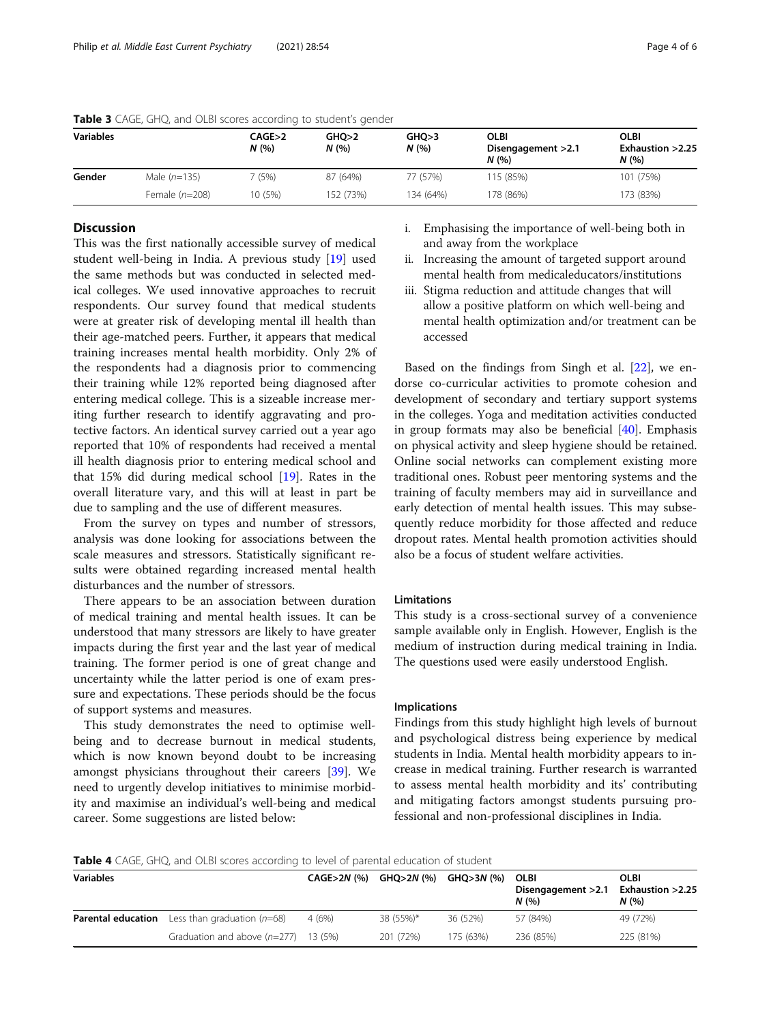| <b>Variables</b> |                  | CAGE>2<br>N(% | <b>GHO&gt;2</b><br>N(%) | GHO>3<br>N(% | <b>OLBI</b><br>Disengagement > 2.1<br>N(96) | <b>OLBI</b><br>Exhaustion $>2.25$<br>N(96) |
|------------------|------------------|---------------|-------------------------|--------------|---------------------------------------------|--------------------------------------------|
| Gender           | Male $(n=135)$   | (5%)          | 87 (64%)                | 77 (57%)     | 115 (85%)                                   | 101 (75%)                                  |
|                  | Female $(n=208)$ | 10 (5%)       | 152 (73%)               | 134 (64%)    | 178 (86%)                                   | 173 (83%)                                  |

<span id="page-3-0"></span>Table 3 CAGE, GHQ, and OLBI scores according to student's gender

## **Discussion**

This was the first nationally accessible survey of medical student well-being in India. A previous study [[19\]](#page-4-0) used the same methods but was conducted in selected medical colleges. We used innovative approaches to recruit respondents. Our survey found that medical students were at greater risk of developing mental ill health than their age-matched peers. Further, it appears that medical training increases mental health morbidity. Only 2% of the respondents had a diagnosis prior to commencing their training while 12% reported being diagnosed after entering medical college. This is a sizeable increase meriting further research to identify aggravating and protective factors. An identical survey carried out a year ago reported that 10% of respondents had received a mental ill health diagnosis prior to entering medical school and that 15% did during medical school [[19](#page-4-0)]. Rates in the overall literature vary, and this will at least in part be due to sampling and the use of different measures.

From the survey on types and number of stressors, analysis was done looking for associations between the scale measures and stressors. Statistically significant results were obtained regarding increased mental health disturbances and the number of stressors.

There appears to be an association between duration of medical training and mental health issues. It can be understood that many stressors are likely to have greater impacts during the first year and the last year of medical training. The former period is one of great change and uncertainty while the latter period is one of exam pressure and expectations. These periods should be the focus of support systems and measures.

This study demonstrates the need to optimise wellbeing and to decrease burnout in medical students, which is now known beyond doubt to be increasing amongst physicians throughout their careers [\[39\]](#page-5-0). We need to urgently develop initiatives to minimise morbidity and maximise an individual's well-being and medical career. Some suggestions are listed below:

- i. Emphasising the importance of well-being both in and away from the workplace
- ii. Increasing the amount of targeted support around mental health from medicaleducators/institutions
- iii. Stigma reduction and attitude changes that will allow a positive platform on which well-being and mental health optimization and/or treatment can be accessed

Based on the findings from Singh et al. [\[22\]](#page-5-0), we endorse co-curricular activities to promote cohesion and development of secondary and tertiary support systems in the colleges. Yoga and meditation activities conducted in group formats may also be beneficial [[40](#page-5-0)]. Emphasis on physical activity and sleep hygiene should be retained. Online social networks can complement existing more traditional ones. Robust peer mentoring systems and the training of faculty members may aid in surveillance and early detection of mental health issues. This may subsequently reduce morbidity for those affected and reduce dropout rates. Mental health promotion activities should also be a focus of student welfare activities.

## Limitations

This study is a cross-sectional survey of a convenience sample available only in English. However, English is the medium of instruction during medical training in India. The questions used were easily understood English.

## Implications

Findings from this study highlight high levels of burnout and psychological distress being experience by medical students in India. Mental health morbidity appears to increase in medical training. Further research is warranted to assess mental health morbidity and its' contributing and mitigating factors amongst students pursuing professional and non-professional disciplines in India.

Table 4 CAGE, GHQ, and OLBI scores according to level of parental education of student

| <b>Variables</b>          |                                        | <b>CAGE&gt;2N (%)</b> | GHQ>2N (%) | GHO>3N (%) | <b>OLBI</b><br>Disengagement > 2.1<br>N(96) | <b>OLBI</b><br>Exhaustion >2.25<br>N(96) |  |
|---------------------------|----------------------------------------|-----------------------|------------|------------|---------------------------------------------|------------------------------------------|--|
| <b>Parental education</b> | Less than graduation $(n=68)$          | 4(6%)                 | 38 (55%)*  | 36 (52%)   | 57 (84%)                                    | 49 (72%)                                 |  |
|                           | Graduation and above $(n=277)$ 13 (5%) |                       | 201 (72%)  | 175 (63%)  | 236 (85%)                                   | 225 (81%)                                |  |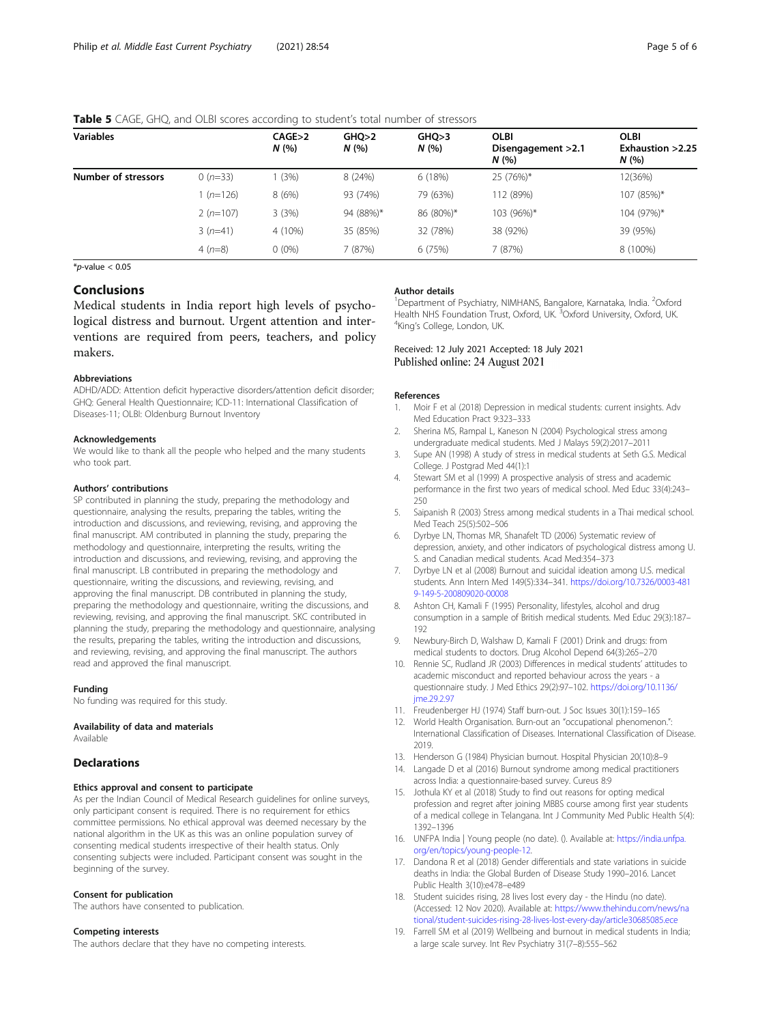| <b>Variables</b>    |                   | CAGE > 2<br>N(% | GHO>2<br>N(% | GHQ>3<br>N(% | <b>OLBI</b><br>Disengagement > 2.1<br>N(% | <b>OLBI</b><br>Exhaustion > 2.25<br>N(% |
|---------------------|-------------------|-----------------|--------------|--------------|-------------------------------------------|-----------------------------------------|
| Number of stressors | (3%)<br>$0(n=33)$ |                 | 8(24%)       | 6(18%)       | 25 (76%)*                                 | 12(36%)                                 |
|                     | $1(n=126)$        | 8(6%)           | 93 (74%)     | 79 (63%)     | 112 (89%)                                 | 107 (85%)*                              |
|                     | $2(n=107)$        | 3(3%)           | 94 (88%)*    | 86 (80%)*    | 103 (96%)*                                | 104 (97%)*                              |
|                     | $3(n=41)$         | 4 (10%)         | 35 (85%)     | 32 (78%)     | 38 (92%)                                  | 39 (95%)                                |
|                     | $4(n=8)$          | $0(0\%)$        | (87%)        | 6 (75%)      | 7 (87%)                                   | 8 (100%)                                |

## <span id="page-4-0"></span>**Table 5** CAGE, GHO, and OLBI scores according to student's total number of stressors

 $*_{p\text{-value}} < 0.05$ 

## Conclusions

Medical students in India report high levels of psychological distress and burnout. Urgent attention and interventions are required from peers, teachers, and policy makers.

## Abbreviations

ADHD/ADD: Attention deficit hyperactive disorders/attention deficit disorder; GHQ: General Health Questionnaire; ICD-11: International Classification of Diseases-11; OLBI: Oldenburg Burnout Inventory

#### Acknowledgements

We would like to thank all the people who helped and the many students who took part.

#### Authors' contributions

SP contributed in planning the study, preparing the methodology and questionnaire, analysing the results, preparing the tables, writing the introduction and discussions, and reviewing, revising, and approving the final manuscript. AM contributed in planning the study, preparing the methodology and questionnaire, interpreting the results, writing the introduction and discussions, and reviewing, revising, and approving the final manuscript. LB contributed in preparing the methodology and questionnaire, writing the discussions, and reviewing, revising, and approving the final manuscript. DB contributed in planning the study, preparing the methodology and questionnaire, writing the discussions, and reviewing, revising, and approving the final manuscript. SKC contributed in planning the study, preparing the methodology and questionnaire, analysing the results, preparing the tables, writing the introduction and discussions, and reviewing, revising, and approving the final manuscript. The authors read and approved the final manuscript.

#### Funding

No funding was required for this study.

## Availability of data and materials

Available

## **Declarations**

## Ethics approval and consent to participate

As per the Indian Council of Medical Research guidelines for online surveys, only participant consent is required. There is no requirement for ethics committee permissions. No ethical approval was deemed necessary by the national algorithm in the UK as this was an online population survey of consenting medical students irrespective of their health status. Only consenting subjects were included. Participant consent was sought in the beginning of the survey.

## Consent for publication

The authors have consented to publication.

#### Competing interests

The authors declare that they have no competing interests.

#### Author details

<sup>1</sup>Department of Psychiatry, NIMHANS, Bangalore, Karnataka, India. <sup>2</sup>Oxford Health NHS Foundation Trust, Oxford, UK. <sup>3</sup>Oxford University, Oxford, UK<br><sup>4</sup>King's College London, UK <sup>4</sup>King's College, London, UK.

## Received: 12 July 2021 Accepted: 18 July 2021 Published online: 24 August 2021

#### References

- 1. Moir F et al (2018) Depression in medical students: current insights. Adv Med Education Pract 9:323–333
- 2. Sherina MS, Rampal L, Kaneson N (2004) Psychological stress among undergraduate medical students. Med J Malays 59(2):2017–2011
- 3. Supe AN (1998) A study of stress in medical students at Seth G.S. Medical College. J Postgrad Med 44(1):1
- 4. Stewart SM et al (1999) A prospective analysis of stress and academic performance in the first two years of medical school. Med Educ 33(4):243–  $250$
- 5. Saipanish R (2003) Stress among medical students in a Thai medical school. Med Teach 25(5):502–506
- 6. Dyrbye LN, Thomas MR, Shanafelt TD (2006) Systematic review of depression, anxiety, and other indicators of psychological distress among U. S. and Canadian medical students. Acad Med:354–373
- 7. Dyrbye LN et al (2008) Burnout and suicidal ideation among U.S. medical students. Ann Intern Med 149(5):334–341. [https://doi.org/10.7326/0003-481](https://doi.org/10.7326/0003-4819-149-5-200809020-00008) [9-149-5-200809020-00008](https://doi.org/10.7326/0003-4819-149-5-200809020-00008)
- 8. Ashton CH, Kamali F (1995) Personality, lifestyles, alcohol and drug consumption in a sample of British medical students. Med Educ 29(3):187– 192
- 9. Newbury-Birch D, Walshaw D, Kamali F (2001) Drink and drugs: from medical students to doctors. Drug Alcohol Depend 64(3):265–270
- 10. Rennie SC, Rudland JR (2003) Differences in medical students' attitudes to academic misconduct and reported behaviour across the years - a questionnaire study. J Med Ethics 29(2):97–102. [https://doi.org/10.1136/](https://doi.org/10.1136/jme.29.2.97) ime.29.2.97
- 11. Freudenberger HJ (1974) Staff burn-out. J Soc Issues 30(1):159–165
- 12. World Health Organisation. Burn-out an "occupational phenomenon.": International Classification of Diseases. International Classification of Disease. 2019.
- 13. Henderson G (1984) Physician burnout. Hospital Physician 20(10):8–9
- 14. Langade D et al (2016) Burnout syndrome among medical practitioners across India: a questionnaire-based survey. Cureus 8:9
- 15. Jothula KY et al (2018) Study to find out reasons for opting medical profession and regret after joining MBBS course among first year students of a medical college in Telangana. Int J Community Med Public Health 5(4): 1392–1396
- 16. UNFPA India | Young people (no date). (). Available at: [https://india.unfpa.](https://india.unfpa.org/en/topics/young-people-12) [org/en/topics/young-people-12](https://india.unfpa.org/en/topics/young-people-12).
- 17. Dandona R et al (2018) Gender differentials and state variations in suicide deaths in India: the Global Burden of Disease Study 1990–2016. Lancet Public Health 3(10):e478–e489
- 18. Student suicides rising, 28 lives lost every day the Hindu (no date). (Accessed: 12 Nov 2020). Available at: [https://www.thehindu.com/news/na](https://www.thehindu.com/news/national/student-suicides-rising-28-lives-lost-every-day/article30685085.ece) [tional/student-suicides-rising-28-lives-lost-every-day/article30685085.ece](https://www.thehindu.com/news/national/student-suicides-rising-28-lives-lost-every-day/article30685085.ece)
- 19. Farrell SM et al (2019) Wellbeing and burnout in medical students in India; a large scale survey. Int Rev Psychiatry 31(7–8):555–562